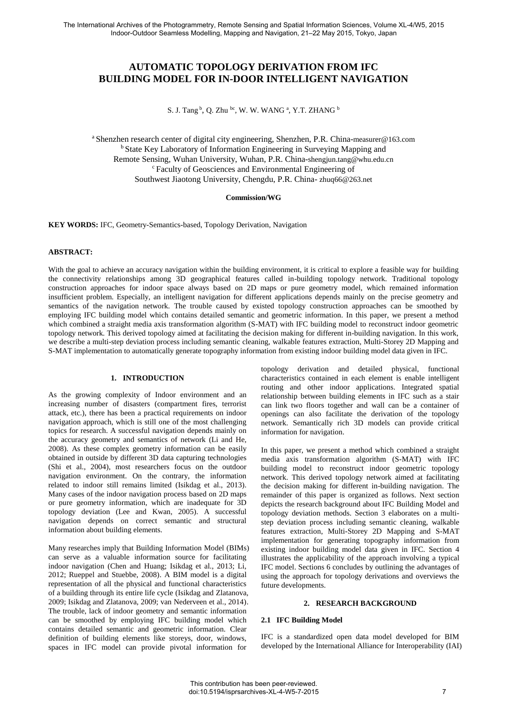# **AUTOMATIC TOPOLOGY DERIVATION FROM IFC BUILDING MODEL FOR IN-DOOR INTELLIGENT NAVIGATION**

S. J. Tang  $^{\rm b}$ , Q. Zhu  $^{\rm bc}$ , W. W. WANG <sup>a</sup>, Y.T. ZHANG  $^{\rm b}$ 

<sup>a</sup>Shenzhen research center of digital city engineering, Shenzhen, P.R. China-measurer@163.com <sup>b</sup> State Key Laboratory of Information Engineering in Surveying Mapping and Remote Sensing, Wuhan University, Wuhan, P.R. China-shengjun.tang@whu.edu.cn <sup>c</sup>Faculty of Geosciences and Environmental Engineering of Southwest Jiaotong University, Chengdu, P.R. China- zhuq66@263.net

### **Commission/WG**

**KEY WORDS:** IFC, Geometry-Semantics-based, Topology Derivation, Navigation

#### **ABSTRACT:**

With the goal to achieve an accuracy navigation within the building environment, it is critical to explore a feasible way for building the connectivity relationships among 3D geographical features called in-building topology network. Traditional topology construction approaches for indoor space always based on 2D maps or pure geometry model, which remained information insufficient problem. Especially, an intelligent navigation for different applications depends mainly on the precise geometry and semantics of the navigation network. The trouble caused by existed topology construction approaches can be smoothed by employing IFC building model which contains detailed semantic and geometric information. In this paper, we present a method which combined a straight media axis transformation algorithm (S-MAT) with IFC building model to reconstruct indoor geometric topology network. This derived topology aimed at facilitating the decision making for different in-building navigation. In this work, we describe a multi-step deviation process including semantic cleaning, walkable features extraction, Multi-Storey 2D Mapping and S-MAT implementation to automatically generate topography information from existing indoor building model data given in IFC.

## **1. INTRODUCTION**

As the growing complexity of Indoor environment and an increasing number of disasters (compartment fires, terrorist attack, etc.), there has been a practical requirements on indoor navigation approach, which is still one of the most challenging topics for research. A successful navigation depends mainly on the accuracy geometry and semantics of network (Li and He, 2008). As these complex geometry information can be easily obtained in outside by different 3D data capturing technologies (Shi et al., 2004), most researchers focus on the outdoor navigation environment. On the contrary, the information related to indoor still remains limited (Isikdag et al., 2013). Many cases of the indoor navigation process based on 2D maps or pure geometry information, which are inadequate for 3D topology deviation (Lee and Kwan, 2005). A successful navigation depends on correct semantic and structural information about building elements.

Many researches imply that Building Information Model (BIMs) can serve as a valuable information source for facilitating indoor navigation (Chen and Huang; Isikdag et al., 2013; Li, 2012; Rueppel and Stuebbe, 2008). A BIM model is a digital representation of all the physical and functional characteristics of a building through its entire life cycle (Isikdag and Zlatanova, 2009; Isikdag and Zlatanova, 2009; van Nederveen et al., 2014). The trouble, lack of indoor geometry and semantic information can be smoothed by employing IFC building model which contains detailed semantic and geometric information. Clear definition of building elements like storeys, door, windows, spaces in IFC model can provide pivotal information for

topology derivation and detailed physical, functional characteristics contained in each element is enable intelligent routing and other indoor applications. Integrated spatial relationship between building elements in IFC such as a stair can link two floors together and wall can be a container of openings can also facilitate the derivation of the topology network. Semantically rich 3D models can provide critical information for navigation.

In this paper, we present a method which combined a straight media axis transformation algorithm (S-MAT) with IFC building model to reconstruct indoor geometric topology network. This derived topology network aimed at facilitating the decision making for different in-building navigation. The remainder of this paper is organized as follows. Next section depicts the research background about IFC Building Model and topology deviation methods. Section 3 elaborates on a multistep deviation process including semantic cleaning, walkable features extraction, Multi-Storey 2D Mapping and S-MAT implementation for generating topography information from existing indoor building model data given in IFC. Section 4 illustrates the applicability of the approach involving a typical IFC model. Sections 6 concludes by outlining the advantages of using the approach for topology derivations and overviews the future developments.

#### **2. RESEARCH BACKGROUND**

## **2.1 IFC Building Model**

IFC is a standardized open data model developed for BIM developed by the International Alliance for Interoperability (IAI)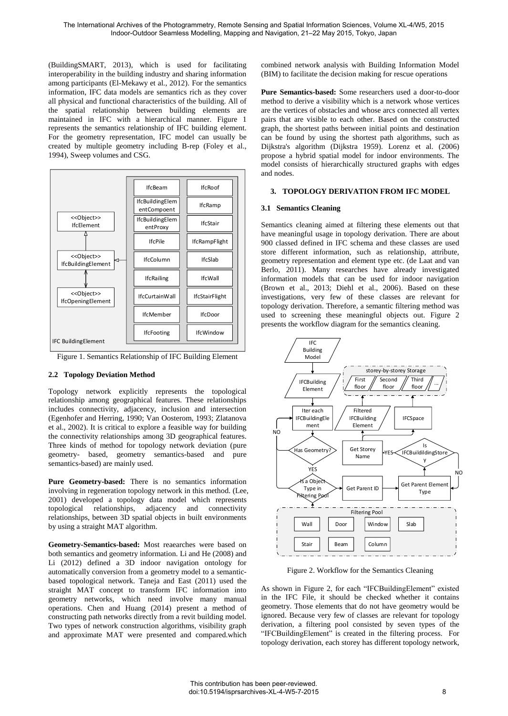(BuildingSMART, 2013), which is used for facilitating interoperability in the building industry and sharing information among participants (El-Mekawy et al., 2012). For the semantics information, IFC data models are semantics rich as they cover all physical and functional characteristics of the building. All of the spatial relationship between building elements are maintained in IFC with a hierarchical manner. [Figure 1](#page-1-0) represents the semantics relationship of IFC building element. For the geometry representation, IFC model can usually be created by multiple geometry including B-rep (Foley et al., 1994), Sweep volumes and CSG.



<span id="page-1-0"></span>Figure 1. Semantics Relationship of IFC Building Element

## **2.2 Topology Deviation Method**

Topology network explicitly represents the topological relationship among geographical features. These relationships includes connectivity, adjacency, inclusion and intersection (Egenhofer and Herring, 1990; Van Oosterom, 1993; Zlatanova et al., 2002). It is critical to explore a feasible way for building the connectivity relationships among 3D geographical features. Three kinds of method for topology network deviation (pure geometry- based, geometry semantics-based and pure semantics-based) are mainly used.

**Pure Geometry-based:** There is no semantics information involving in regeneration topology network in this method. (Lee, 2001) developed a topology data model which represents topological relationships, adjacency and connectivity relationships, between 3D spatial objects in built environments by using a straight MAT algorithm.

**Geometry-Semantics-based:** Most reaearches were based on both semantics and geometry information. Li and He (2008) and Li (2012) defined a 3D indoor navigation ontology for automatically conversion from a geometry model to a semanticbased topological network. Taneja and East (2011) used the straight MAT concept to transform IFC information into geometry networks, which need involve many manual operations. Chen and Huang (2014) present a method of constructing path networks directly from a revit building model. Two types of network construction algorithms, visibility graph and approximate MAT were presented and compared.which

combined network analysis with Building Information Model (BIM) to facilitate the decision making for rescue operations

**Pure Semantics-based:** Some researchers used a door-to-door method to derive a visibility which is a network whose vertices are the vertices of obstacles and whose arcs connected all vertex pairs that are visible to each other. Based on the constructed graph, the shortest paths between initial points and destination can be found by using the shortest path algorithms, such as Dijkstra's algorithm (Dijkstra 1959). Lorenz et al. (2006) propose a hybrid spatial model for indoor environments. The model consists of hierarchically structured graphs with edges and nodes.

## **3. TOPOLOGY DERIVATION FROM IFC MODEL**

## **3.1 Semantics Cleaning**

Semantics cleaning aimed at filtering these elements out that have meaningful usage in topology derivation. There are about 900 classed defined in IFC schema and these classes are used store different information, such as relationship, attribute, geometry representation and element type etc. (de Laat and van Berlo, 2011). Many researches have already investigated information models that can be used for indoor navigation (Brown et al., 2013; Diehl et al., 2006). Based on these investigations, very few of these classes are relevant for topology derivation. Therefore, a semantic filtering method was used to screening these meaningful objects out. [Figure 2](#page-1-1) presents the workflow diagram for the semantics cleaning.



Figure 2. Workflow for the Semantics Cleaning

<span id="page-1-1"></span>As shown in [Figure 2,](#page-1-1) for each "IFCBuildingElement" existed in the IFC File, it should be checked whether it contains geometry. Those elements that do not have geometry would be ignored. Because very few of classes are relevant for topology derivation, a filtering pool consisted by seven types of the "IFCBuildingElement" is created in the filtering process. For topology derivation, each storey has different topology network,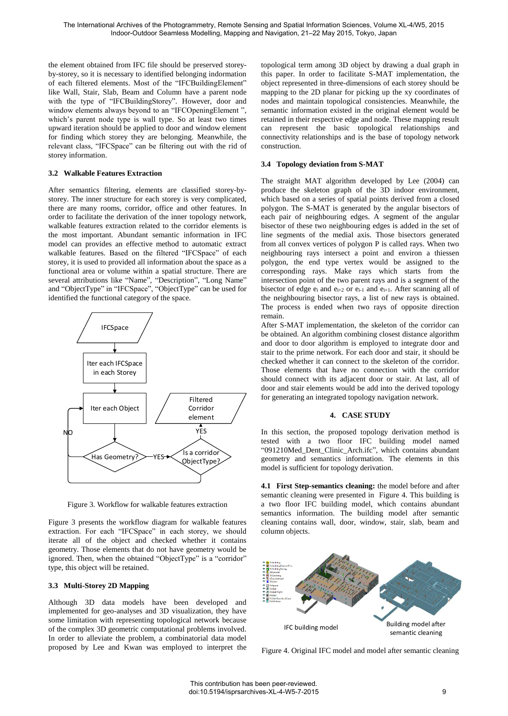the element obtained from IFC file should be preserved storeyby-storey, so it is necessary to identified belonging indormation of each filtered elements. Most of the "IFCBuildingElement" like Wall, Stair, Slab, Beam and Column have a parent node with the type of "IFCBuildingStorey". However, door and window elements always beyond to an "IFCOpeningElement ", which's parent node type is wall type. So at least two times upward iteration should be applied to door and window element for finding which storey they are belonging. Meanwhile, the relevant class, "IFCSpace" can be filtering out with the rid of storey information.

## **3.2 Walkable Features Extraction**

After semantics filtering, elements are classified storey-bystorey. The inner structure for each storey is very complicated, there are many rooms, corridor, office and other features. In order to facilitate the derivation of the inner topology network, walkable features extraction related to the corridor elements is the most important. Abundant semantic information in IFC model can provides an effective method to automatic extract walkable features. Based on the filtered "IFCSpace" of each storey, it is used to provided all information about the space as a functional area or volume within a spatial structure. There are several attributions like "Name", "Description", "Long Name" and "ObjectType" in "IFCSpace", "ObjectType" can be used for identified the functional category of the space.



Figure 3. Workflow for walkable features extraction

<span id="page-2-0"></span>[Figure 3](#page-2-0) presents the workflow diagram for walkable features extraction. For each "IFCSpace" in each storey, we should iterate all of the object and checked whether it contains geometry. Those elements that do not have geometry would be ignored. Then, when the obtained "ObjectType" is a "corridor" type, this object will be retained.

#### **3.3 Multi-Storey 2D Mapping**

Although 3D data models have been developed and implemented for geo-analyses and 3D visualization, they have some limitation with representing topological network because of the complex 3D geometric computational problems involved. In order to alleviate the problem, a combinatorial data model proposed by Lee and Kwan was employed to interpret the topological term among 3D object by drawing a dual graph in this paper. In order to facilitate S-MAT implementation, the object represented in three-dimensions of each storey should be mapping to the 2D planar for picking up the xy coordinates of nodes and maintain topological consistencies. Meanwhile, the semantic information existed in the original element would be retained in their respective edge and node. These mapping result can represent the basic topological relationships and connectivity relationships and is the base of topology network construction.

### **3.4 Topology deviation from S-MAT**

The straight MAT algorithm developed by Lee (2004) can produce the skeleton graph of the 3D indoor environment, which based on a series of spatial points derived from a closed polygon. The S-MAT is generated by the angular bisectors of each pair of neighbouring edges. A segment of the angular bisector of these two neighbouring edges is added in the set of line segments of the medial axis. Those bisectors generated from all convex vertices of polygon P is called rays. When two neighbouring rays intersect a point and environ a thiessen polygon, the end type vertex would be assigned to the corresponding rays. Make rays which starts from the intersection point of the two parent rays and is a segment of the bisector of edge  $e_i$  and  $e_{i+2}$  or  $e_{i-1}$  and  $e_{i+1}$ . After scanning all of the neighbouring bisector rays, a list of new rays is obtained. The process is ended when two rays of opposite direction remain.

After S-MAT implementation, the skeleton of the corridor can be obtained. An algorithm combining closest distance algorithm and door to door algorithm is employed to integrate door and stair to the prime network. For each door and stair, it should be checked whether it can connect to the skeleton of the corridor. Those elements that have no connection with the corridor should connect with its adjacent door or stair. At last, all of door and stair elements would be add into the derived topology for generating an integrated topology navigation network.

#### **4. CASE STUDY**

In this section, the proposed topology derivation method is tested with a two floor IFC building model named "091210Med\_Dent\_Clinic\_Arch.ifc", which contains abundant geometry and semantics information. The elements in this model is sufficient for topology derivation.

**4.1 First Step-semantics cleaning:** the model before and after semantic cleaning were presented in [Figure 4.](#page-2-1) This building is a two floor IFC building model, which contains abundant semantics information. The building model after semantic cleaning contains wall, door, window, stair, slab, beam and column objects.



<span id="page-2-1"></span>Figure 4. Original IFC model and model after semantic cleaning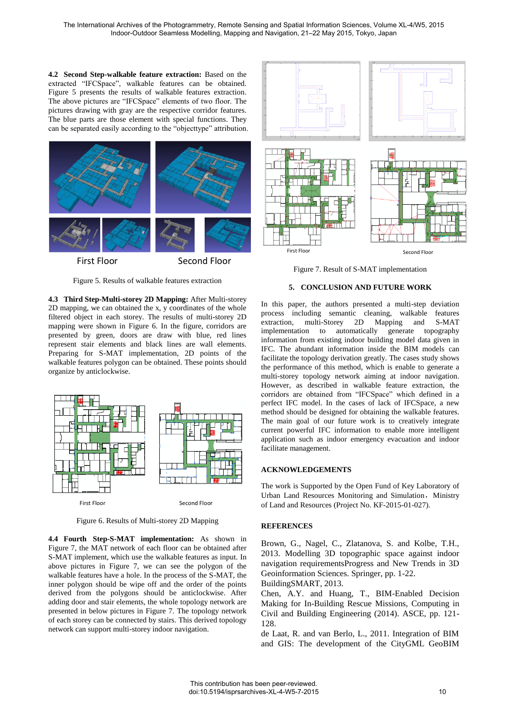**4.2 Second Step-walkable feature extraction:** Based on the extracted "IFCSpace", walkable features can be obtained. [Figure 5](#page-3-0) presents the results of walkable features extraction. The above pictures are "IFCSpace" elements of two floor. The pictures drawing with gray are the respective corridor features. The blue parts are those element with special functions. They can be separated easily according to the "objecttype" attribution.



<span id="page-3-0"></span>**4.3 Third Step-Multi-storey 2D Mapping:** After Multi-storey 2D mapping, we can obtained the x, y coordinates of the whole filtered object in each storey. The results of multi-storey 2D mapping were shown in [Figure 6.](#page-3-1) In the figure, corridors are presented by green, doors are draw with blue, red lines represent stair elements and black lines are wall elements. Preparing for S-MAT implementation, 2D points of the walkable features polygon can be obtained. These points should organize by anticlockwise.

Figure 5. Results of walkable features extraction



Figure 6. Results of Multi-storey 2D Mapping

<span id="page-3-1"></span>**4.4 Fourth Step-S-MAT implementation:** As shown in [Figure 7,](#page-3-2) the MAT network of each floor can be obtained after S-MAT implement, which use the walkable features as input. In above pictures in [Figure 7,](#page-3-2) we can see the polygon of the walkable features have a hole. In the process of the S-MAT, the inner polygon should be wipe off and the order of the points derived from the polygons should be anticlockwise. After adding door and stair elements, the whole topology network are presented in below pictures in [Figure 7.](#page-3-2) The topology network of each storey can be connected by stairs. This derived topology network can support multi-storey indoor navigation.



<span id="page-3-2"></span>Figure 7. Result of S-MAT implementation

# **5. CONCLUSION AND FUTURE WORK**

In this paper, the authors presented a multi-step deviation process including semantic cleaning, walkable features<br>extraction, multi-Storey 2D Mapping and S-MAT extraction, multi-Storey 2D Mapping and S-MAT implementation to automatically generate topography information from existing indoor building model data given in IFC. The abundant information inside the BIM models can facilitate the topology derivation greatly. The cases study shows the performance of this method, which is enable to generate a multi-storey topology network aiming at indoor navigation. However, as described in walkable feature extraction, the corridors are obtained from "IFCSpace" which defined in a perfect IFC model. In the cases of lack of IFCSpace, a new method should be designed for obtaining the walkable features. The main goal of our future work is to creatively integrate current powerful IFC information to enable more intelligent application such as indoor emergency evacuation and indoor facilitate management.

# **ACKNOWLEDGEMENTS**

The work is Supported by the Open Fund of Key Laboratory of Urban Land Resources Monitoring and Simulation, Ministry of Land and Resources (Project No. KF-2015-01-027).

# **REFERENCES**

Brown, G., Nagel, C., Zlatanova, S. and Kolbe, T.H., 2013. Modelling 3D topographic space against indoor navigation requirementsProgress and New Trends in 3D Geoinformation Sciences. Springer, pp. 1-22.

BuildingSMART, 2013.

Chen, A.Y. and Huang, T., BIM-Enabled Decision Making for In-Building Rescue Missions, Computing in Civil and Building Engineering (2014). ASCE, pp. 121- 128.

de Laat, R. and van Berlo, L., 2011. Integration of BIM and GIS: The development of the CityGML GeoBIM